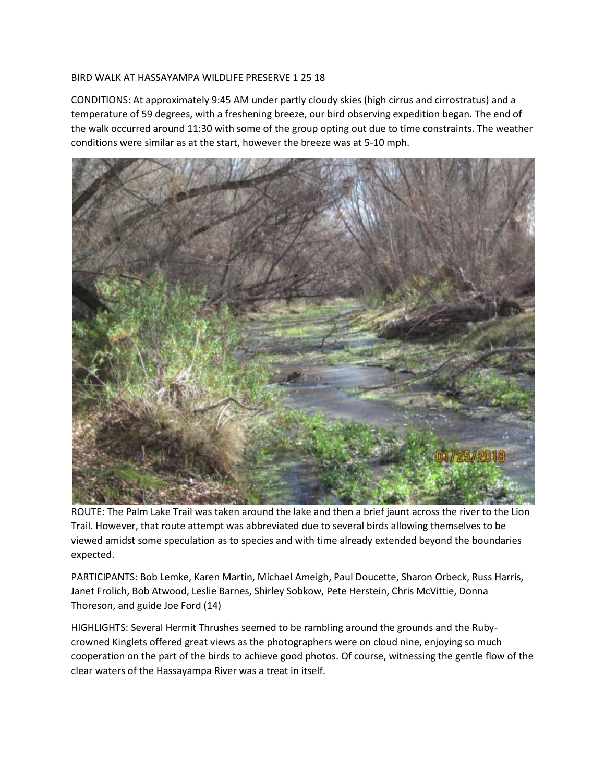## BIRD WALK AT HASSAYAMPA WILDLIFE PRESERVE 1 25 18

CONDITIONS: At approximately 9:45 AM under partly cloudy skies (high cirrus and cirrostratus) and a temperature of 59 degrees, with a freshening breeze, our bird observing expedition began. The end of the walk occurred around 11:30 with some of the group opting out due to time constraints. The weather conditions were similar as at the start, however the breeze was at 5-10 mph.



ROUTE: The Palm Lake Trail was taken around the lake and then a brief jaunt across the river to the Lion Trail. However, that route attempt was abbreviated due to several birds allowing themselves to be viewed amidst some speculation as to species and with time already extended beyond the boundaries expected.

PARTICIPANTS: Bob Lemke, Karen Martin, Michael Ameigh, Paul Doucette, Sharon Orbeck, Russ Harris, Janet Frolich, Bob Atwood, Leslie Barnes, Shirley Sobkow, Pete Herstein, Chris McVittie, Donna Thoreson, and guide Joe Ford (14)

HIGHLIGHTS: Several Hermit Thrushes seemed to be rambling around the grounds and the Rubycrowned Kinglets offered great views as the photographers were on cloud nine, enjoying so much cooperation on the part of the birds to achieve good photos. Of course, witnessing the gentle flow of the clear waters of the Hassayampa River was a treat in itself.